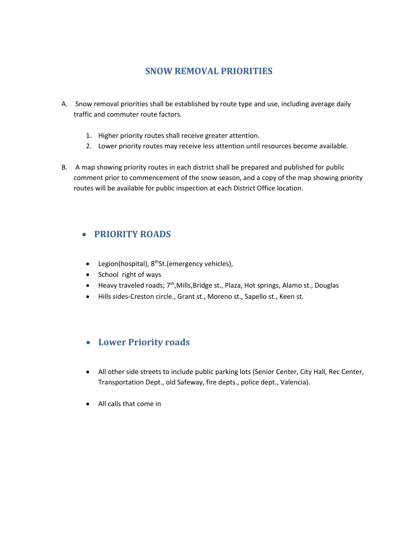# **SNOW REMOVAL PRIORITIES**

- A. Snow removal priorities shall be established by route type and use, including average daily traffic and commuter route factors.
	- 1. Higher priority routes shall receive greater attention.
	- 2. Lower priority routes may receive less attention until resources become available.
- B. A map showing priority routes in each district shall be prepared and published for public comment prior to commencement of the snow season, and a copy of the map showing priority routes will be available for public inspection at each District Office location.

# **PRIORITY ROADS**

- Legion(hospital), 8<sup>th</sup>St.(emergency vehicles),
- School right of ways
- Heavy traveled roads; 7<sup>th</sup>,Mills,Bridge st., Plaza, Hot springs, Alamo st., Douglas
- Hills sides-Creston circle., Grant st., Moreno st., Sapello st., Keen st.

# **Lower Priority roads**

- All other side streets to include public parking lots (Senior Center, City Hall, Rec Center, Transportation Dept., old Safeway, fire depts., police dept., Valencia).
- All calls that come in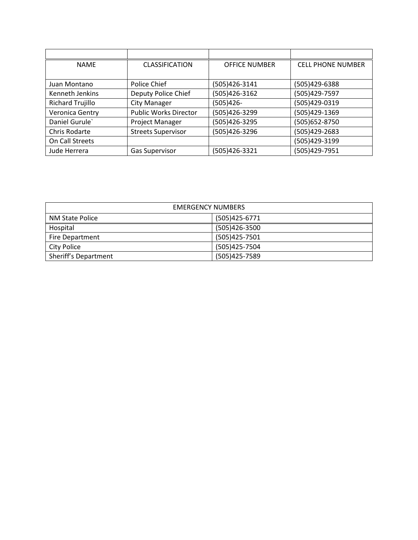| <b>NAMF</b>             | <b>CLASSIFICATION</b>        | <b>OFFICE NUMBER</b> | <b>CELL PHONE NUMBER</b> |
|-------------------------|------------------------------|----------------------|--------------------------|
|                         |                              |                      |                          |
| Juan Montano            | Police Chief                 | (505)426-3141        | (505)429-6388            |
| Kenneth Jenkins         | Deputy Police Chief          | (505)426-3162        | (505)429-7597            |
| <b>Richard Trujillo</b> | City Manager                 | (505)426-            | (505)429-0319            |
| Veronica Gentry         | <b>Public Works Director</b> | (505)426-3299        | (505)429-1369            |
| Daniel Gurule           | Project Manager              | (505)426-3295        | (505) 652-8750           |
| Chris Rodarte           | <b>Streets Supervisor</b>    | (505)426-3296        | (505)429-2683            |
| On Call Streets         |                              |                      | (505)429-3199            |
| Jude Herrera            | <b>Gas Supervisor</b>        | (505)426-3321        | (505)429-7951            |

| <b>EMERGENCY NUMBERS</b> |               |  |
|--------------------------|---------------|--|
| NM State Police          | (505)425-6771 |  |
| Hospital                 | (505)426-3500 |  |
| <b>Fire Department</b>   | (505)425-7501 |  |
| City Police              | (505)425-7504 |  |
| Sheriff's Department     | (505)425-7589 |  |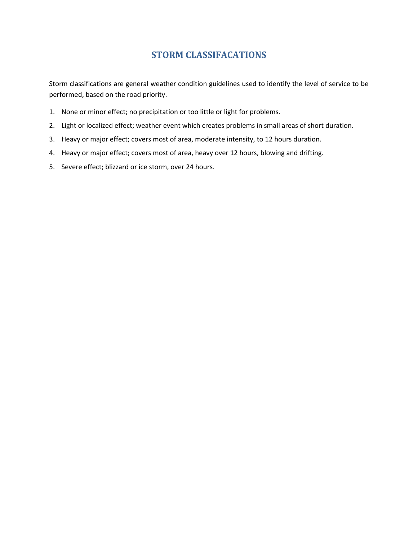# **STORM CLASSIFACATIONS**

Storm classifications are general weather condition guidelines used to identify the level of service to be performed, based on the road priority.

- 1. None or minor effect; no precipitation or too little or light for problems.
- 2. Light or localized effect; weather event which creates problems in small areas of short duration.
- 3. Heavy or major effect; covers most of area, moderate intensity, to 12 hours duration.
- 4. Heavy or major effect; covers most of area, heavy over 12 hours, blowing and drifting.
- 5. Severe effect; blizzard or ice storm, over 24 hours.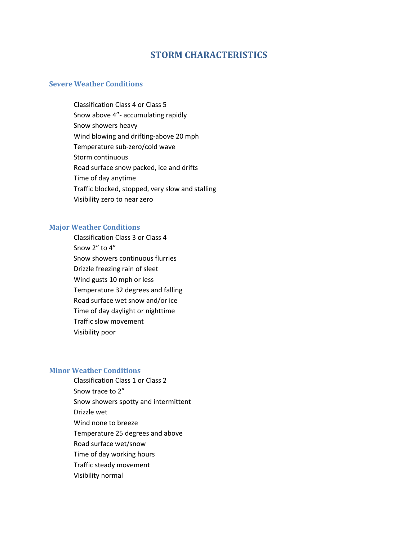## **STORM CHARACTERISTICS**

### **Severe Weather Conditions**

Classification Class 4 or Class 5 Snow above 4"- accumulating rapidly Snow showers heavy Wind blowing and drifting-above 20 mph Temperature sub-zero/cold wave Storm continuous Road surface snow packed, ice and drifts Time of day anytime Traffic blocked, stopped, very slow and stalling Visibility zero to near zero

#### **Major Weather Conditions**

Classification Class 3 or Class 4 Snow 2" to 4" Snow showers continuous flurries Drizzle freezing rain of sleet Wind gusts 10 mph or less Temperature 32 degrees and falling Road surface wet snow and/or ice Time of day daylight or nighttime Traffic slow movement Visibility poor

#### **Minor Weather Conditions**

Classification Class 1 or Class 2 Snow trace to 2" Snow showers spotty and intermittent Drizzle wet Wind none to breeze Temperature 25 degrees and above Road surface wet/snow Time of day working hours Traffic steady movement Visibility normal